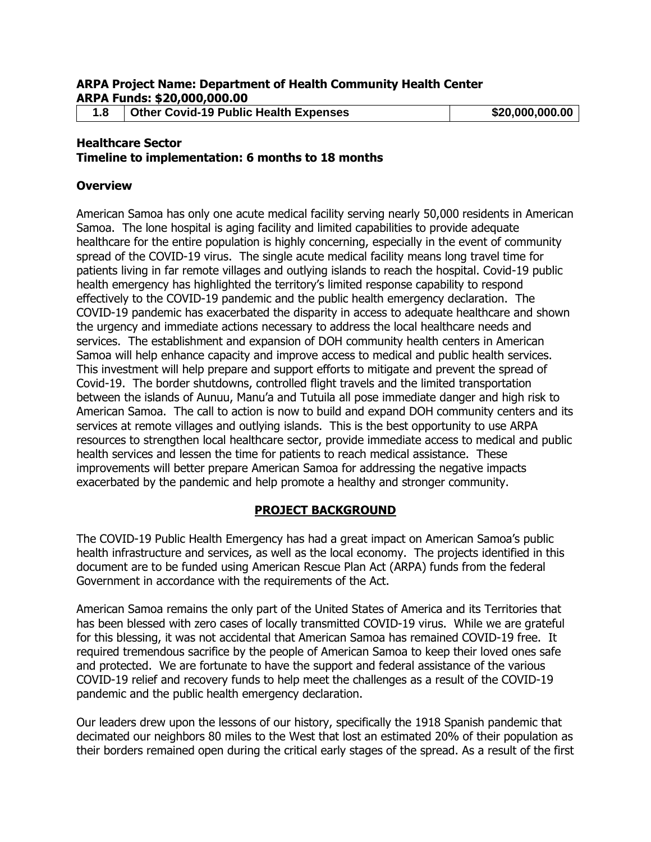**1.8 Other Covid-19 Public Health Expenses \$20,000,000.00**

# **Healthcare Sector**

**Timeline to implementation: 6 months to 18 months**

#### **Overview**

American Samoa has only one acute medical facility serving nearly 50,000 residents in American Samoa. The lone hospital is aging facility and limited capabilities to provide adequate healthcare for the entire population is highly concerning, especially in the event of community spread of the COVID-19 virus. The single acute medical facility means long travel time for patients living in far remote villages and outlying islands to reach the hospital. Covid-19 public health emergency has highlighted the territory's limited response capability to respond effectively to the COVID-19 pandemic and the public health emergency declaration. The COVID-19 pandemic has exacerbated the disparity in access to adequate healthcare and shown the urgency and immediate actions necessary to address the local healthcare needs and services. The establishment and expansion of DOH community health centers in American Samoa will help enhance capacity and improve access to medical and public health services. This investment will help prepare and support efforts to mitigate and prevent the spread of Covid-19. The border shutdowns, controlled flight travels and the limited transportation between the islands of Aunuu, Manu'a and Tutuila all pose immediate danger and high risk to American Samoa. The call to action is now to build and expand DOH community centers and its services at remote villages and outlying islands. This is the best opportunity to use ARPA resources to strengthen local healthcare sector, provide immediate access to medical and public health services and lessen the time for patients to reach medical assistance. These improvements will better prepare American Samoa for addressing the negative impacts exacerbated by the pandemic and help promote a healthy and stronger community.

#### **PROJECT BACKGROUND**

The COVID-19 Public Health Emergency has had a great impact on American Samoa's public health infrastructure and services, as well as the local economy. The projects identified in this document are to be funded using American Rescue Plan Act (ARPA) funds from the federal Government in accordance with the requirements of the Act.

American Samoa remains the only part of the United States of America and its Territories that has been blessed with zero cases of locally transmitted COVID-19 virus. While we are grateful for this blessing, it was not accidental that American Samoa has remained COVID-19 free. It required tremendous sacrifice by the people of American Samoa to keep their loved ones safe and protected. We are fortunate to have the support and federal assistance of the various COVID-19 relief and recovery funds to help meet the challenges as a result of the COVID-19 pandemic and the public health emergency declaration.

Our leaders drew upon the lessons of our history, specifically the 1918 Spanish pandemic that decimated our neighbors 80 miles to the West that lost an estimated 20% of their population as their borders remained open during the critical early stages of the spread. As a result of the first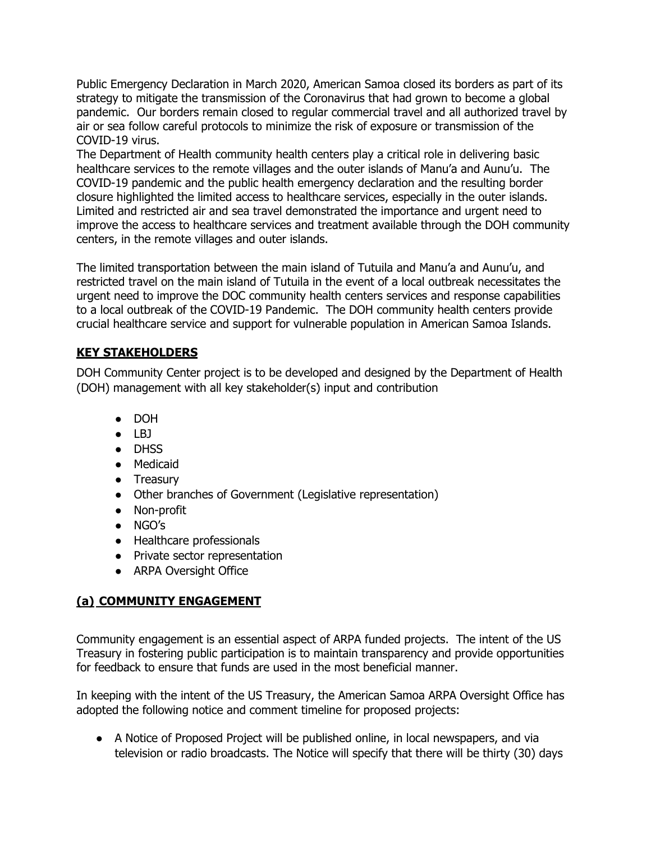Public Emergency Declaration in March 2020, American Samoa closed its borders as part of its strategy to mitigate the transmission of the Coronavirus that had grown to become a global pandemic. Our borders remain closed to regular commercial travel and all authorized travel by air or sea follow careful protocols to minimize the risk of exposure or transmission of the COVID-19 virus.

The Department of Health community health centers play a critical role in delivering basic healthcare services to the remote villages and the outer islands of Manu'a and Aunu'u. The COVID-19 pandemic and the public health emergency declaration and the resulting border closure highlighted the limited access to healthcare services, especially in the outer islands. Limited and restricted air and sea travel demonstrated the importance and urgent need to improve the access to healthcare services and treatment available through the DOH community centers, in the remote villages and outer islands.

The limited transportation between the main island of Tutuila and Manu'a and Aunu'u, and restricted travel on the main island of Tutuila in the event of a local outbreak necessitates the urgent need to improve the DOC community health centers services and response capabilities to a local outbreak of the COVID-19 Pandemic. The DOH community health centers provide crucial healthcare service and support for vulnerable population in American Samoa Islands.

## **KEY STAKEHOLDERS**

DOH Community Center project is to be developed and designed by the Department of Health (DOH) management with all key stakeholder(s) input and contribution

- DOH
- LBJ
- DHSS
- Medicaid
- Treasury
- Other branches of Government (Legislative representation)
- Non-profit
- NGO's
- Healthcare professionals
- Private sector representation
- ARPA Oversight Office

## **(a) COMMUNITY ENGAGEMENT**

Community engagement is an essential aspect of ARPA funded projects. The intent of the US Treasury in fostering public participation is to maintain transparency and provide opportunities for feedback to ensure that funds are used in the most beneficial manner.

In keeping with the intent of the US Treasury, the American Samoa ARPA Oversight Office has adopted the following notice and comment timeline for proposed projects:

● A Notice of Proposed Project will be published online, in local newspapers, and via television or radio broadcasts. The Notice will specify that there will be thirty (30) days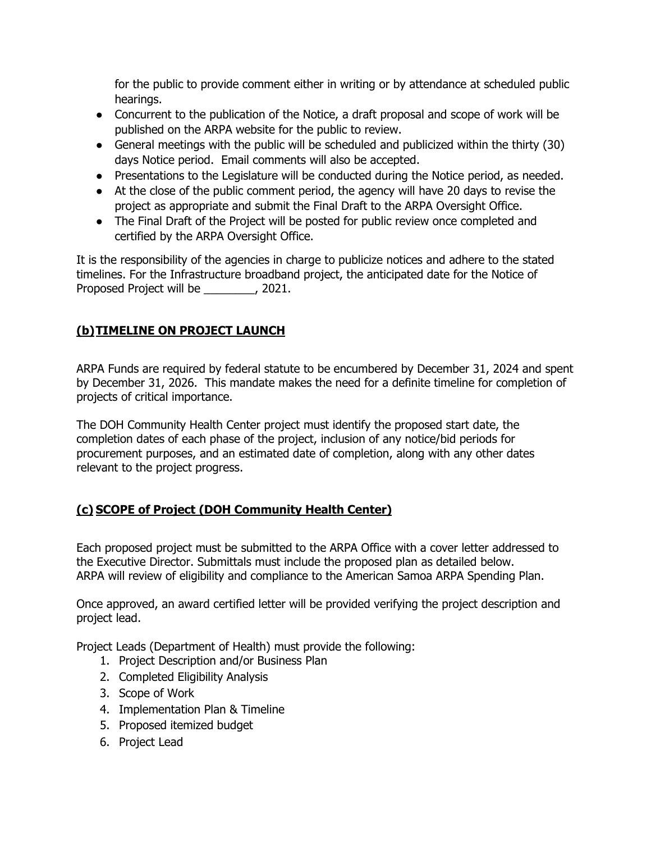for the public to provide comment either in writing or by attendance at scheduled public hearings.

- Concurrent to the publication of the Notice, a draft proposal and scope of work will be published on the ARPA website for the public to review.
- General meetings with the public will be scheduled and publicized within the thirty (30) days Notice period. Email comments will also be accepted.
- Presentations to the Legislature will be conducted during the Notice period, as needed.
- At the close of the public comment period, the agency will have 20 days to revise the project as appropriate and submit the Final Draft to the ARPA Oversight Office.
- The Final Draft of the Project will be posted for public review once completed and certified by the ARPA Oversight Office.

It is the responsibility of the agencies in charge to publicize notices and adhere to the stated timelines. For the Infrastructure broadband project, the anticipated date for the Notice of Proposed Project will be \_\_\_\_\_\_\_\_, 2021.

# **(b)TIMELINE ON PROJECT LAUNCH**

ARPA Funds are required by federal statute to be encumbered by December 31, 2024 and spent by December 31, 2026. This mandate makes the need for a definite timeline for completion of projects of critical importance.

The DOH Community Health Center project must identify the proposed start date, the completion dates of each phase of the project, inclusion of any notice/bid periods for procurement purposes, and an estimated date of completion, along with any other dates relevant to the project progress.

## **(c) SCOPE of Project (DOH Community Health Center)**

Each proposed project must be submitted to the ARPA Office with a cover letter addressed to the Executive Director. Submittals must include the proposed plan as detailed below. ARPA will review of eligibility and compliance to the American Samoa ARPA Spending Plan.

Once approved, an award certified letter will be provided verifying the project description and project lead.

Project Leads (Department of Health) must provide the following:

- 1. Project Description and/or Business Plan
- 2. Completed Eligibility Analysis
- 3. Scope of Work
- 4. Implementation Plan & Timeline
- 5. Proposed itemized budget
- 6. Project Lead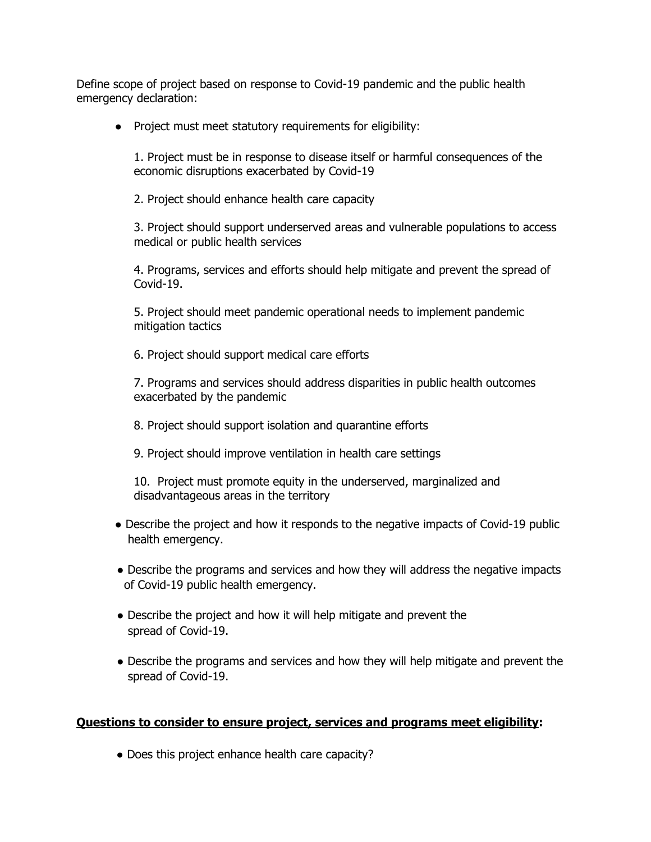Define scope of project based on response to Covid-19 pandemic and the public health emergency declaration:

● Project must meet statutory requirements for eligibility:

1. Project must be in response to disease itself or harmful consequences of the economic disruptions exacerbated by Covid-19

2. Project should enhance health care capacity

3. Project should support underserved areas and vulnerable populations to access medical or public health services

4. Programs, services and efforts should help mitigate and prevent the spread of Covid-19.

5. Project should meet pandemic operational needs to implement pandemic mitigation tactics

6. Project should support medical care efforts

7. Programs and services should address disparities in public health outcomes exacerbated by the pandemic

- 8. Project should support isolation and quarantine efforts
- 9. Project should improve ventilation in health care settings

10. Project must promote equity in the underserved, marginalized and disadvantageous areas in the territory

- Describe the project and how it responds to the negative impacts of Covid-19 public health emergency.
- Describe the programs and services and how they will address the negative impacts of Covid-19 public health emergency.
- Describe the project and how it will help mitigate and prevent the spread of Covid-19.
- Describe the programs and services and how they will help mitigate and prevent the spread of Covid-19.

#### **Questions to consider to ensure project, services and programs meet eligibility:**

• Does this project enhance health care capacity?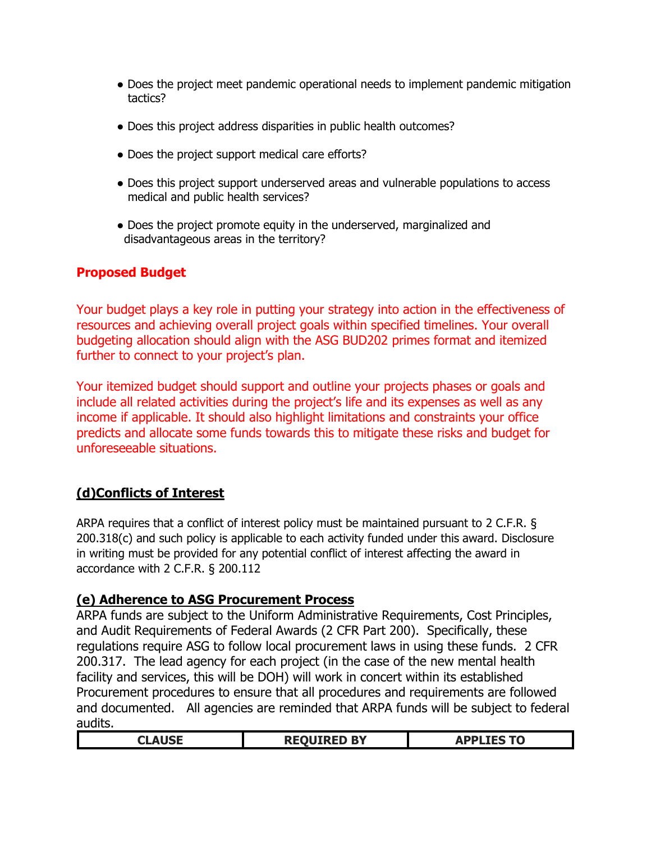- Does the project meet pandemic operational needs to implement pandemic mitigation tactics?
- Does this project address disparities in public health outcomes?
- Does the project support medical care efforts?
- Does this project support underserved areas and vulnerable populations to access medical and public health services?
- Does the project promote equity in the underserved, marginalized and disadvantageous areas in the territory?

## **Proposed Budget**

Your budget plays a key role in putting your strategy into action in the effectiveness of resources and achieving overall project goals within specified timelines. Your overall budgeting allocation should align with the ASG BUD202 primes format and itemized further to connect to your project's plan.

Your itemized budget should support and outline your projects phases or goals and include all related activities during the project's life and its expenses as well as any income if applicable. It should also highlight limitations and constraints your office predicts and allocate some funds towards this to mitigate these risks and budget for unforeseeable situations.

## **(d)Conflicts of Interest**

ARPA requires that a conflict of interest policy must be maintained pursuant to 2 C.F.R. § 200.318(c) and such policy is applicable to each activity funded under this award. Disclosure in writing must be provided for any potential conflict of interest affecting the award in accordance with 2 C.F.R. § 200.112

#### **(e) Adherence to ASG Procurement Process**

ARPA funds are subject to the Uniform Administrative Requirements, Cost Principles, and Audit Requirements of Federal Awards (2 CFR Part 200). Specifically, these regulations require ASG to follow local procurement laws in using these funds. 2 CFR 200.317. The lead agency for each project (in the case of the new mental health facility and services, this will be DOH) will work in concert within its established Procurement procedures to ensure that all procedures and requirements are followed and documented. All agencies are reminded that ARPA funds will be subject to federal audits.

| ----- | <b>DV</b><br>n.<br>- -<br>$\sim$ | $\sim$ $\sim$ $\sim$<br>$\sim$<br>$\sim$<br>---<br>______ |
|-------|----------------------------------|-----------------------------------------------------------|
|       |                                  |                                                           |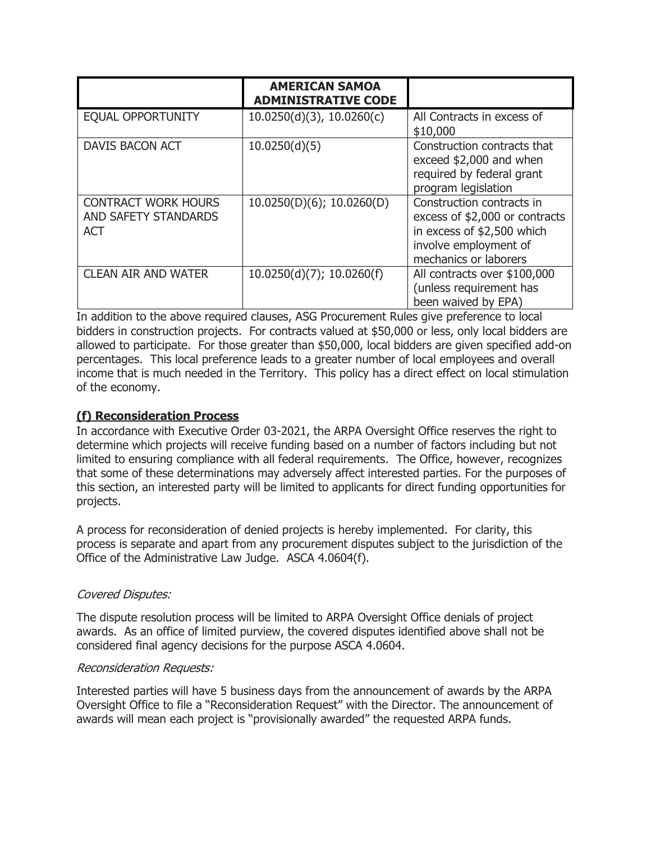|                                                                  | <b>AMERICAN SAMOA</b><br><b>ADMINISTRATIVE CODE</b> |                                                                                                                                             |
|------------------------------------------------------------------|-----------------------------------------------------|---------------------------------------------------------------------------------------------------------------------------------------------|
| <b>EQUAL OPPORTUNITY</b>                                         | $10.0250(d)(3)$ , $10.0260(c)$                      | All Contracts in excess of<br>\$10,000                                                                                                      |
| <b>DAVIS BACON ACT</b>                                           | 10.0250(d)(5)                                       | Construction contracts that<br>exceed \$2,000 and when<br>required by federal grant<br>program legislation                                  |
| <b>CONTRACT WORK HOURS</b><br>AND SAFETY STANDARDS<br><b>ACT</b> | $10.0250(D)(6)$ ; 10.0260(D)                        | Construction contracts in<br>excess of \$2,000 or contracts<br>in excess of \$2,500 which<br>involve employment of<br>mechanics or laborers |
| <b>CLEAN AIR AND WATER</b>                                       | 10.0250(d)(7); 10.0260(f)                           | All contracts over \$100,000<br>(unless requirement has<br>been waived by EPA)                                                              |

In addition to the above required clauses, ASG Procurement Rules give preference to local bidders in construction projects. For contracts valued at \$50,000 or less, only local bidders are allowed to participate. For those greater than \$50,000, local bidders are given specified add-on percentages. This local preference leads to a greater number of local employees and overall income that is much needed in the Territory. This policy has a direct effect on local stimulation of the economy.

#### **(f) Reconsideration Process**

In accordance with Executive Order 03-2021, the ARPA Oversight Office reserves the right to determine which projects will receive funding based on a number of factors including but not limited to ensuring compliance with all federal requirements. The Office, however, recognizes that some of these determinations may adversely affect interested parties. For the purposes of this section, an interested party will be limited to applicants for direct funding opportunities for projects.

A process for reconsideration of denied projects is hereby implemented. For clarity, this process is separate and apart from any procurement disputes subject to the jurisdiction of the Office of the Administrative Law Judge. ASCA 4.0604(f).

#### Covered Disputes:

The dispute resolution process will be limited to ARPA Oversight Office denials of project awards. As an office of limited purview, the covered disputes identified above shall not be considered final agency decisions for the purpose ASCA 4.0604.

#### Reconsideration Requests:

Interested parties will have 5 business days from the announcement of awards by the ARPA Oversight Office to file a "Reconsideration Request" with the Director. The announcement of awards will mean each project is "provisionally awarded" the requested ARPA funds.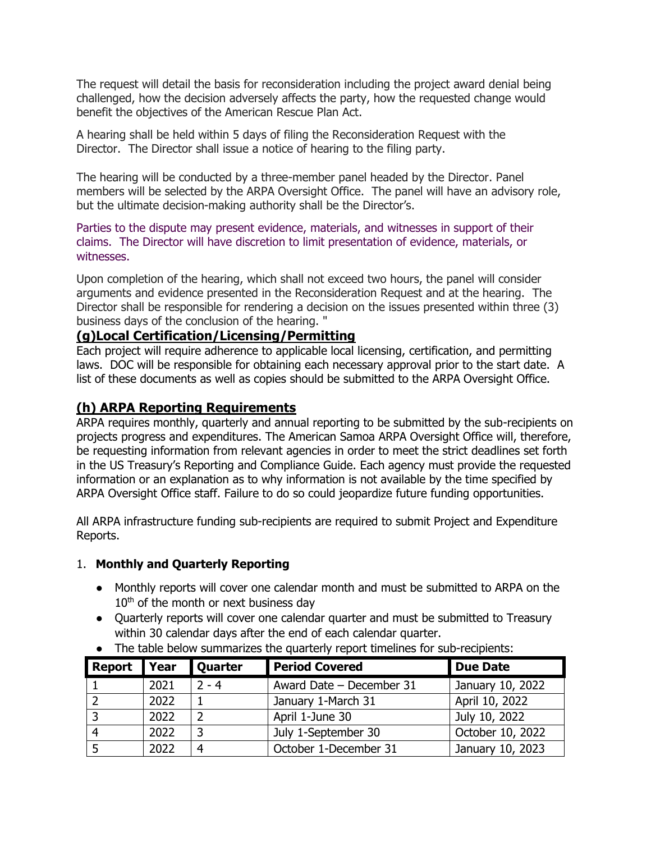The request will detail the basis for reconsideration including the project award denial being challenged, how the decision adversely affects the party, how the requested change would benefit the objectives of the American Rescue Plan Act.

A hearing shall be held within 5 days of filing the Reconsideration Request with the Director. The Director shall issue a notice of hearing to the filing party.

The hearing will be conducted by a three-member panel headed by the Director. Panel members will be selected by the ARPA Oversight Office. The panel will have an advisory role, but the ultimate decision-making authority shall be the Director's.

Parties to the dispute may present evidence, materials, and witnesses in support of their claims. The Director will have discretion to limit presentation of evidence, materials, or witnesses.

Upon completion of the hearing, which shall not exceed two hours, the panel will consider arguments and evidence presented in the Reconsideration Request and at the hearing. The Director shall be responsible for rendering a decision on the issues presented within three (3) business days of the conclusion of the hearing. "

## **(g)Local Certification/Licensing/Permitting**

Each project will require adherence to applicable local licensing, certification, and permitting laws. DOC will be responsible for obtaining each necessary approval prior to the start date. A list of these documents as well as copies should be submitted to the ARPA Oversight Office.

## **(h) ARPA Reporting Requirements**

ARPA requires monthly, quarterly and annual reporting to be submitted by the sub-recipients on projects progress and expenditures. The American Samoa ARPA Oversight Office will, therefore, be requesting information from relevant agencies in order to meet the strict deadlines set forth in the US Treasury's Reporting and Compliance Guide. Each agency must provide the requested information or an explanation as to why information is not available by the time specified by ARPA Oversight Office staff. Failure to do so could jeopardize future funding opportunities.

All ARPA infrastructure funding sub-recipients are required to submit Project and Expenditure Reports.

#### 1. **Monthly and Quarterly Reporting**

- Monthly reports will cover one calendar month and must be submitted to ARPA on the  $10<sup>th</sup>$  of the month or next business day
- Quarterly reports will cover one calendar quarter and must be submitted to Treasury within 30 calendar days after the end of each calendar quarter.

| Report Year |      | <b>Quarter</b> | <b>Period Covered</b>    | <b>Due Date</b>  |
|-------------|------|----------------|--------------------------|------------------|
|             | 2021 | $2 - 4$        | Award Date - December 31 | January 10, 2022 |
|             | 2022 |                | January 1-March 31       | April 10, 2022   |
|             | 2022 |                | April 1-June 30          | July 10, 2022    |
|             | 2022 |                | July 1-September 30      | October 10, 2022 |
|             | 2022 |                | October 1-December 31    | January 10, 2023 |

● The table below summarizes the quarterly report timelines for sub-recipients: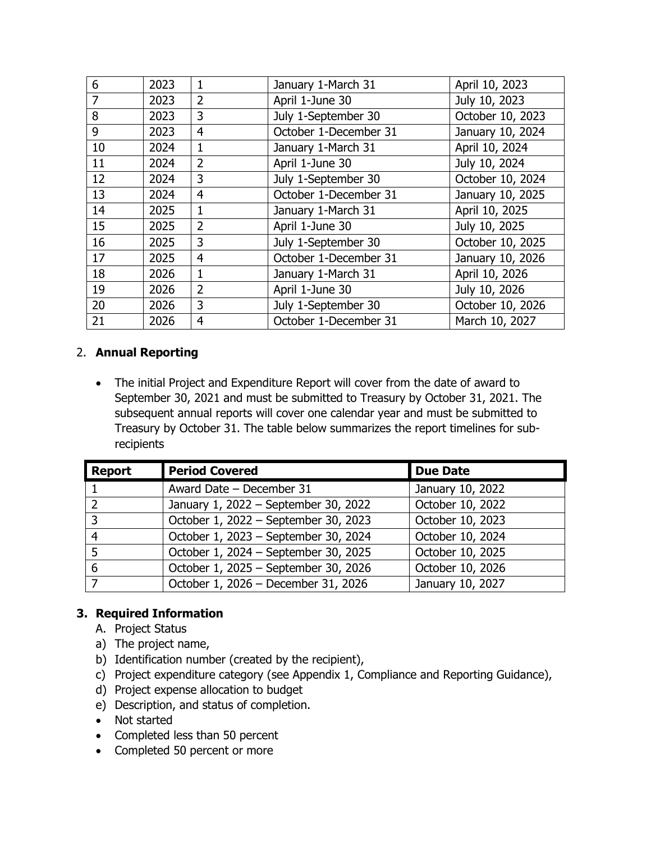| 6  | 2023 | 1              | January 1-March 31    | April 10, 2023   |
|----|------|----------------|-----------------------|------------------|
| 7  | 2023 | $\overline{2}$ | April 1-June 30       | July 10, 2023    |
| 8  | 2023 | 3              | July 1-September 30   | October 10, 2023 |
| 9  | 2023 | $\overline{4}$ | October 1-December 31 | January 10, 2024 |
| 10 | 2024 | $\mathbf{1}$   | January 1-March 31    | April 10, 2024   |
| 11 | 2024 | $\overline{2}$ | April 1-June 30       | July 10, 2024    |
| 12 | 2024 | 3              | July 1-September 30   | October 10, 2024 |
| 13 | 2024 | $\overline{4}$ | October 1-December 31 | January 10, 2025 |
| 14 | 2025 | 1              | January 1-March 31    | April 10, 2025   |
| 15 | 2025 | $\overline{2}$ | April 1-June 30       | July 10, 2025    |
| 16 | 2025 | 3              | July 1-September 30   | October 10, 2025 |
| 17 | 2025 | $\overline{4}$ | October 1-December 31 | January 10, 2026 |
| 18 | 2026 | $\mathbf{1}$   | January 1-March 31    | April 10, 2026   |
| 19 | 2026 | $\overline{2}$ | April 1-June 30       | July 10, 2026    |
| 20 | 2026 | 3              | July 1-September 30   | October 10, 2026 |
| 21 | 2026 | $\overline{4}$ | October 1-December 31 | March 10, 2027   |

## 2. **Annual Reporting**

• The initial Project and Expenditure Report will cover from the date of award to September 30, 2021 and must be submitted to Treasury by October 31, 2021. The subsequent annual reports will cover one calendar year and must be submitted to Treasury by October 31. The table below summarizes the report timelines for subrecipients

| <b>Report</b> | <b>Period Covered</b>                | <b>Due Date</b>  |
|---------------|--------------------------------------|------------------|
|               | Award Date - December 31             | January 10, 2022 |
|               | January 1, 2022 - September 30, 2022 | October 10, 2022 |
| 3             | October 1, 2022 - September 30, 2023 | October 10, 2023 |
| 4             | October 1, 2023 - September 30, 2024 | October 10, 2024 |
|               | October 1, 2024 - September 30, 2025 | October 10, 2025 |
| 6             | October 1, 2025 - September 30, 2026 | October 10, 2026 |
|               | October 1, 2026 - December 31, 2026  | January 10, 2027 |

## **3. Required Information**

- A. Project Status
- a) The project name,
- b) Identification number (created by the recipient),
- c) Project expenditure category (see Appendix 1, Compliance and Reporting Guidance),
- d) Project expense allocation to budget
- e) Description, and status of completion.
- Not started
- Completed less than 50 percent
- Completed 50 percent or more